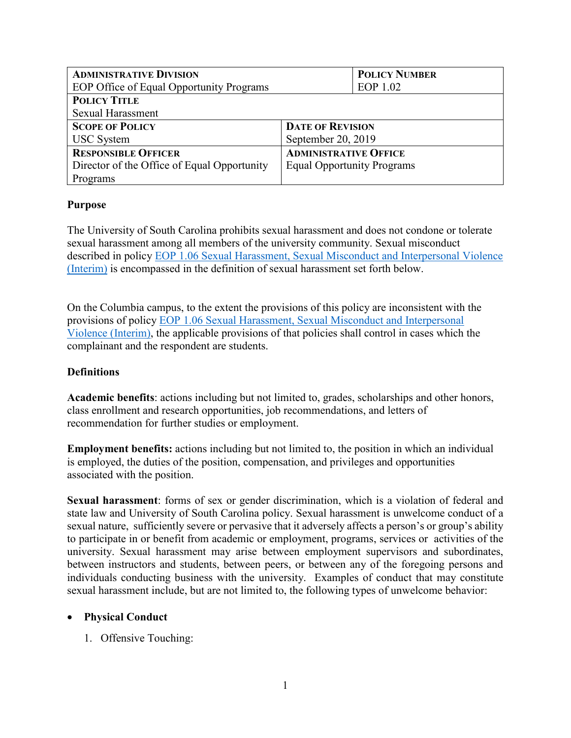| <b>ADMINISTRATIVE DIVISION</b>              |                                   | <b>POLICY NUMBER</b> |
|---------------------------------------------|-----------------------------------|----------------------|
| EOP Office of Equal Opportunity Programs    |                                   | EOP 1.02             |
| <b>POLICY TITLE</b>                         |                                   |                      |
| <b>Sexual Harassment</b>                    |                                   |                      |
| <b>SCOPE OF POLICY</b>                      | <b>DATE OF REVISION</b>           |                      |
| <b>USC</b> System                           | September 20, 2019                |                      |
| <b>RESPONSIBLE OFFICER</b>                  | <b>ADMINISTRATIVE OFFICE</b>      |                      |
| Director of the Office of Equal Opportunity | <b>Equal Opportunity Programs</b> |                      |
| Programs                                    |                                   |                      |

### **Purpose**

The University of South Carolina prohibits sexual harassment and does not condone or tolerate sexual harassment among all members of the university community. Sexual misconduct described in policy **EOP 1.06 Sexual Harassment, Sexual Misconduct and Interpersonal Violence** [\(Interim\)](https://www.sc.edu/policies/ppm/eop106.pdf) is encompassed in the definition of sexual harassment set forth below.

On the Columbia campus, to the extent the provisions of this policy are inconsistent with the provisions of policy [EOP 1.06 Sexual Harassment, Sexual Misconduct and Interpersonal](https://www.sc.edu/policies/ppm/eop106.pdf)  [Violence \(Interim\),](https://www.sc.edu/policies/ppm/eop106.pdf) the applicable provisions of that policies shall control in cases which the complainant and the respondent are students.

## **Definitions**

**Academic benefits**: actions including but not limited to, grades, scholarships and other honors, class enrollment and research opportunities, job recommendations, and letters of recommendation for further studies or employment.

**Employment benefits:** actions including but not limited to, the position in which an individual is employed, the duties of the position, compensation, and privileges and opportunities associated with the position.

**Sexual harassment**: forms of sex or gender discrimination, which is a violation of federal and state law and University of South Carolina policy. Sexual harassment is unwelcome conduct of a sexual nature, sufficiently severe or pervasive that it adversely affects a person's or group's ability to participate in or benefit from academic or employment, programs, services or activities of the university. Sexual harassment may arise between employment supervisors and subordinates, between instructors and students, between peers, or between any of the foregoing persons and individuals conducting business with the university. Examples of conduct that may constitute sexual harassment include, but are not limited to, the following types of unwelcome behavior:

#### **Physical Conduct**

1. Offensive Touching: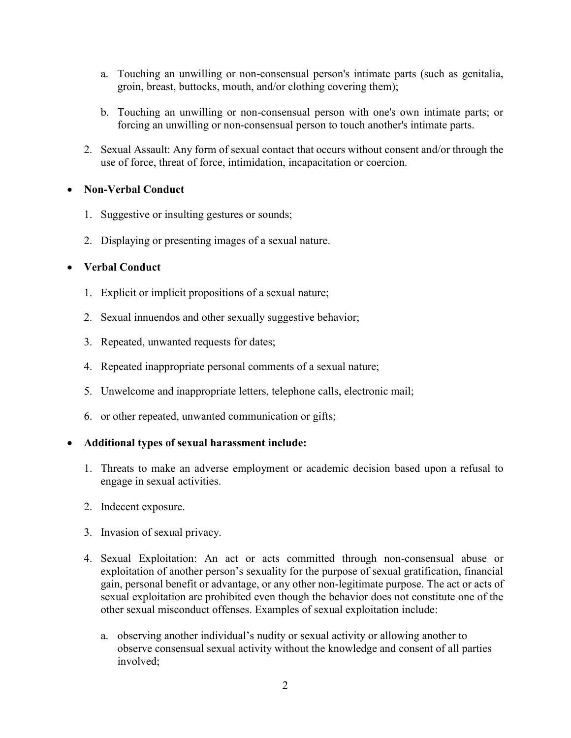- a. Touching an unwilling or non-consensual person's intimate parts (such as genitalia, groin, breast, buttocks, mouth, and/or clothing covering them);
- b. Touching an unwilling or non-consensual person with one's own intimate parts; or forcing an unwilling or non-consensual person to touch another's intimate parts.
- 2. Sexual Assault: Any form of sexual contact that occurs without consent and/or through the use of force, threat of force, intimidation, incapacitation or coercion.

### **Non-Verbal Conduct**

- 1. Suggestive or insulting gestures or sounds;
- 2. Displaying or presenting images of a sexual nature.

### **Verbal Conduct**

- 1. Explicit or implicit propositions of a sexual nature;
- 2. Sexual innuendos and other sexually suggestive behavior;
- 3. Repeated, unwanted requests for dates;
- 4. Repeated inappropriate personal comments of a sexual nature;
- 5. Unwelcome and inappropriate letters, telephone calls, electronic mail;
- 6. or other repeated, unwanted communication or gifts;

# **Additional types of sexual harassment include:**

- 1. Threats to make an adverse employment or academic decision based upon a refusal to engage in sexual activities.
- 2. Indecent exposure.
- 3. Invasion of sexual privacy.
- 4. Sexual Exploitation: An act or acts committed through non-consensual abuse or exploitation of another person's sexuality for the purpose of sexual gratification, financial gain, personal benefit or advantage, or any other non-legitimate purpose. The act or acts of sexual exploitation are prohibited even though the behavior does not constitute one of the other sexual misconduct offenses. Examples of sexual exploitation include:
	- a. observing another individual's nudity or sexual activity or allowing another to observe consensual sexual activity without the knowledge and consent of all parties involved;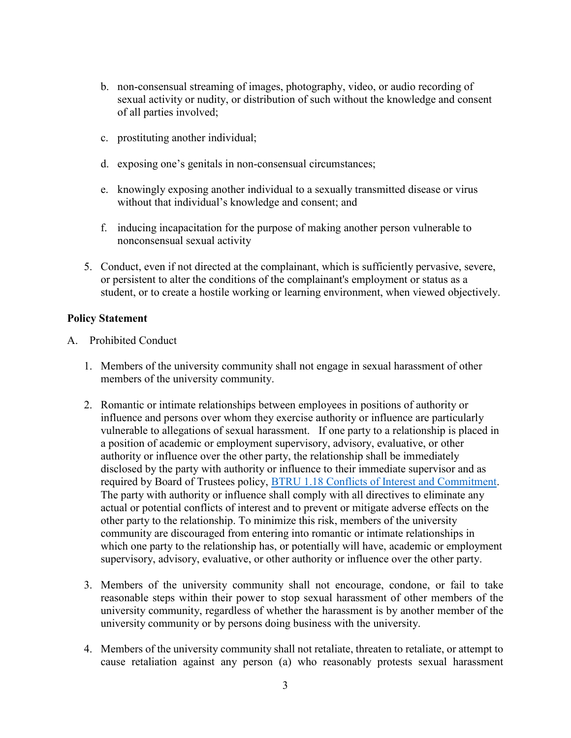- b. non-consensual streaming of images, photography, video, or audio recording of sexual activity or nudity, or distribution of such without the knowledge and consent of all parties involved;
- c. prostituting another individual;
- d. exposing one's genitals in non-consensual circumstances;
- e. knowingly exposing another individual to a sexually transmitted disease or virus without that individual's knowledge and consent; and
- f. inducing incapacitation for the purpose of making another person vulnerable to nonconsensual sexual activity
- 5. Conduct, even if not directed at the complainant, which is sufficiently pervasive, severe, or persistent to alter the conditions of the complainant's employment or status as a student, or to create a hostile working or learning environment, when viewed objectively.

### **Policy Statement**

- A. Prohibited Conduct
	- 1. Members of the university community shall not engage in sexual harassment of other members of the university community.
	- 2. Romantic or intimate relationships between employees in positions of authority or influence and persons over whom they exercise authority or influence are particularly vulnerable to allegations of sexual harassment. If one party to a relationship is placed in a position of academic or employment supervisory, advisory, evaluative, or other authority or influence over the other party, the relationship shall be immediately disclosed by the party with authority or influence to their immediate supervisor and as required by Board of Trustees policy, [BTRU 1.18 Conflicts of Interest and Commitment.](http://www.sc.edu/policies/ppm/btru118.pdf) The party with authority or influence shall comply with all directives to eliminate any actual or potential conflicts of interest and to prevent or mitigate adverse effects on the other party to the relationship. To minimize this risk, members of the university community are discouraged from entering into romantic or intimate relationships in which one party to the relationship has, or potentially will have, academic or employment supervisory, advisory, evaluative, or other authority or influence over the other party.
	- 3. Members of the university community shall not encourage, condone, or fail to take reasonable steps within their power to stop sexual harassment of other members of the university community, regardless of whether the harassment is by another member of the university community or by persons doing business with the university.
	- 4. Members of the university community shall not retaliate, threaten to retaliate, or attempt to cause retaliation against any person (a) who reasonably protests sexual harassment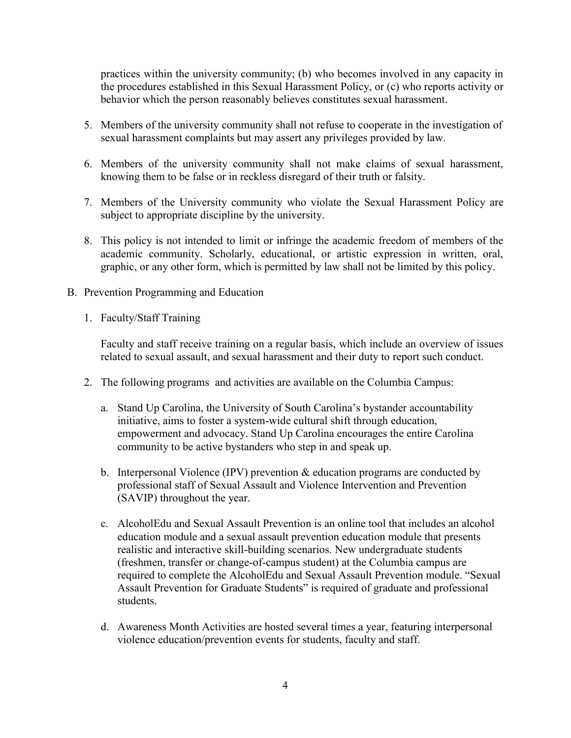practices within the university community; (b) who becomes involved in any capacity in the procedures established in this Sexual Harassment Policy, or (c) who reports activity or behavior which the person reasonably believes constitutes sexual harassment.

- 5. Members of the university community shall not refuse to cooperate in the investigation of sexual harassment complaints but may assert any privileges provided by law.
- 6. Members of the university community shall not make claims of sexual harassment, knowing them to be false or in reckless disregard of their truth or falsity.
- 7. Members of the University community who violate the Sexual Harassment Policy are subject to appropriate discipline by the university.
- 8. This policy is not intended to limit or infringe the academic freedom of members of the academic community. Scholarly, educational, or artistic expression in written, oral, graphic, or any other form, which is permitted by law shall not be limited by this policy.
- B. Prevention Programming and Education
	- 1. Faculty/Staff Training

Faculty and staff receive training on a regular basis, which include an overview of issues related to sexual assault, and sexual harassment and their duty to report such conduct.

- 2. The following programs and activities are available on the Columbia Campus:
	- a. Stand Up Carolina, the University of South Carolina's bystander accountability initiative, aims to foster a system-wide cultural shift through education, empowerment and advocacy. Stand Up Carolina encourages the entire Carolina community to be active bystanders who step in and speak up.
	- b. Interpersonal Violence (IPV) prevention & education programs are conducted by professional staff of Sexual Assault and Violence Intervention and Prevention (SAVIP) throughout the year.
	- c. AlcoholEdu and Sexual Assault Prevention is an online tool that includes an alcohol education module and a sexual assault prevention education module that presents realistic and interactive skill-building scenarios. New undergraduate students (freshmen, transfer or change-of-campus student) at the Columbia campus are required to complete the AlcoholEdu and Sexual Assault Prevention module. "Sexual Assault Prevention for Graduate Students" is required of graduate and professional students.
	- d. Awareness Month Activities are hosted several times a year, featuring interpersonal violence education/prevention events for students, faculty and staff.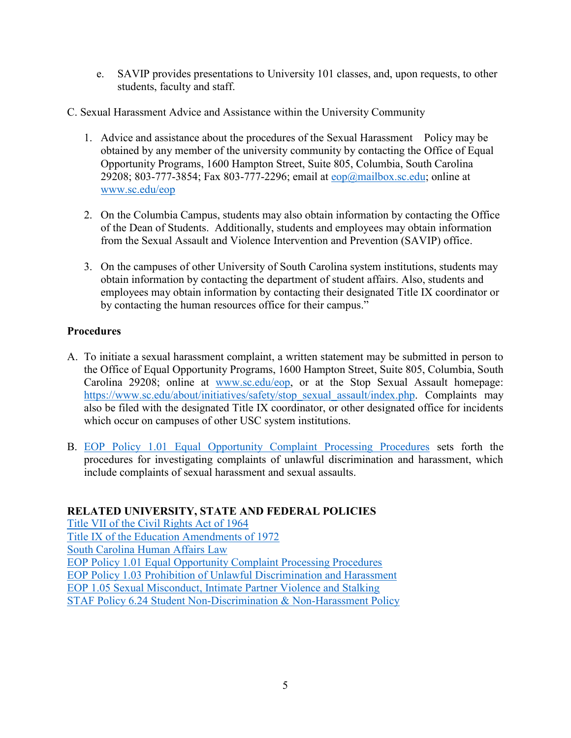- e. SAVIP provides presentations to University 101 classes, and, upon requests, to other students, faculty and staff.
- C. Sexual Harassment Advice and Assistance within the University Community
	- 1. Advice and assistance about the procedures of the Sexual Harassment Policy may be obtained by any member of the university community by contacting the Office of Equal Opportunity Programs, 1600 Hampton Street, Suite 805, Columbia, South Carolina 29208; 803-777-3854; Fax 803-777-2296; email at  $e^{O(m)}$ mailbox.sc.edu; online at [www.sc.edu/eop](http://www.sc.edu/eop)
	- 2. On the Columbia Campus, students may also obtain information by contacting the Office of the Dean of Students. Additionally, students and employees may obtain information from the Sexual Assault and Violence Intervention and Prevention (SAVIP) office.
	- 3. On the campuses of other University of South Carolina system institutions, students may obtain information by contacting the department of student affairs. Also, students and employees may obtain information by contacting their designated Title IX coordinator or by contacting the human resources office for their campus."

# **Procedures**

- A. To initiate a sexual harassment complaint, a written statement may be submitted in person to the Office of Equal Opportunity Programs, 1600 Hampton Street, Suite 805, Columbia, South Carolina 29208; online at [www.sc.edu/eop,](http://www.sc.edu/eop) or at the Stop Sexual Assault homepage: [https://www.sc.edu/about/initiatives/safety/stop\\_sexual\\_assault/index.php.](https://www.sc.edu/about/initiatives/safety/stop_sexual_assault/index.php) Complaints may also be filed with the designated Title IX coordinator, or other designated office for incidents which occur on campuses of other USC system institutions.
- B. EOP Policy 1.01 [Equal Opportunity Complaint Processing Procedures](http://www.sc.edu/policies/ppm/eop101.pdf) sets forth the procedures for investigating complaints of unlawful discrimination and harassment, which include complaints of sexual harassment and sexual assaults.

#### **RELATED UNIVERSITY, STATE AND FEDERAL POLICIES**

[Title VII of the Civil Rights Act of 1964](https://www.eeoc.gov/laws/statutes/titlevii.cfm) [Title IX of the Education Amendments of 1972](https://www2.ed.gov/about/offices/list/ocr/docs/tix_dis.html) [South Carolina Human Affairs Law](https://www.scstatehouse.gov/code/t01c013.php) EOP Policy 1.01 [Equal Opportunity Complaint Processing Procedures](http://www.sc.edu/policies/ppm/eop101.pdf) EOP Policy 1.03 [Prohibition of Unlawful Discrimination and Harassment](https://www.sc.edu/policies/ppm/eop103.pdf) [EOP 1.05 Sexual Misconduct, Intimate Partner Violence and Stalking](https://www.sc.edu/about/offices_and_divisions/equal_opportunities_programs/documents/eop_sexual_misconduct_intimate_partner.pdf) STAF Policy 6.24 [Student Non-Discrimination & Non-Harassment Policy](https://www.sc.edu/about/offices_and_divisions/equal_opportunities_programs/documents/student_non-discrimination_and_non-harassment_policy.pdf)